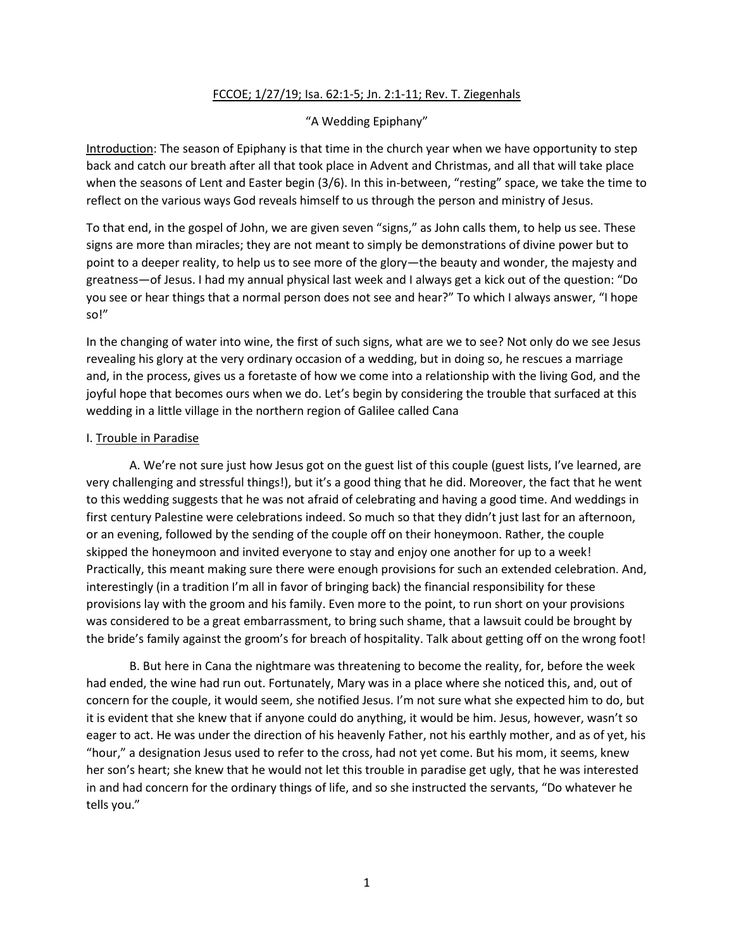# FCCOE; 1/27/19; Isa. 62:1-5; Jn. 2:1-11; Rev. T. Ziegenhals

## "A Wedding Epiphany"

Introduction: The season of Epiphany is that time in the church year when we have opportunity to step back and catch our breath after all that took place in Advent and Christmas, and all that will take place when the seasons of Lent and Easter begin (3/6). In this in-between, "resting" space, we take the time to reflect on the various ways God reveals himself to us through the person and ministry of Jesus.

To that end, in the gospel of John, we are given seven "signs," as John calls them, to help us see. These signs are more than miracles; they are not meant to simply be demonstrations of divine power but to point to a deeper reality, to help us to see more of the glory—the beauty and wonder, the majesty and greatness—of Jesus. I had my annual physical last week and I always get a kick out of the question: "Do you see or hear things that a normal person does not see and hear?" To which I always answer, "I hope so!"

In the changing of water into wine, the first of such signs, what are we to see? Not only do we see Jesus revealing his glory at the very ordinary occasion of a wedding, but in doing so, he rescues a marriage and, in the process, gives us a foretaste of how we come into a relationship with the living God, and the joyful hope that becomes ours when we do. Let's begin by considering the trouble that surfaced at this wedding in a little village in the northern region of Galilee called Cana

### I. Trouble in Paradise

A. We're not sure just how Jesus got on the guest list of this couple (guest lists, I've learned, are very challenging and stressful things!), but it's a good thing that he did. Moreover, the fact that he went to this wedding suggests that he was not afraid of celebrating and having a good time. And weddings in first century Palestine were celebrations indeed. So much so that they didn't just last for an afternoon, or an evening, followed by the sending of the couple off on their honeymoon. Rather, the couple skipped the honeymoon and invited everyone to stay and enjoy one another for up to a week! Practically, this meant making sure there were enough provisions for such an extended celebration. And, interestingly (in a tradition I'm all in favor of bringing back) the financial responsibility for these provisions lay with the groom and his family. Even more to the point, to run short on your provisions was considered to be a great embarrassment, to bring such shame, that a lawsuit could be brought by the bride's family against the groom's for breach of hospitality. Talk about getting off on the wrong foot!

B. But here in Cana the nightmare was threatening to become the reality, for, before the week had ended, the wine had run out. Fortunately, Mary was in a place where she noticed this, and, out of concern for the couple, it would seem, she notified Jesus. I'm not sure what she expected him to do, but it is evident that she knew that if anyone could do anything, it would be him. Jesus, however, wasn't so eager to act. He was under the direction of his heavenly Father, not his earthly mother, and as of yet, his "hour," a designation Jesus used to refer to the cross, had not yet come. But his mom, it seems, knew her son's heart; she knew that he would not let this trouble in paradise get ugly, that he was interested in and had concern for the ordinary things of life, and so she instructed the servants, "Do whatever he tells you."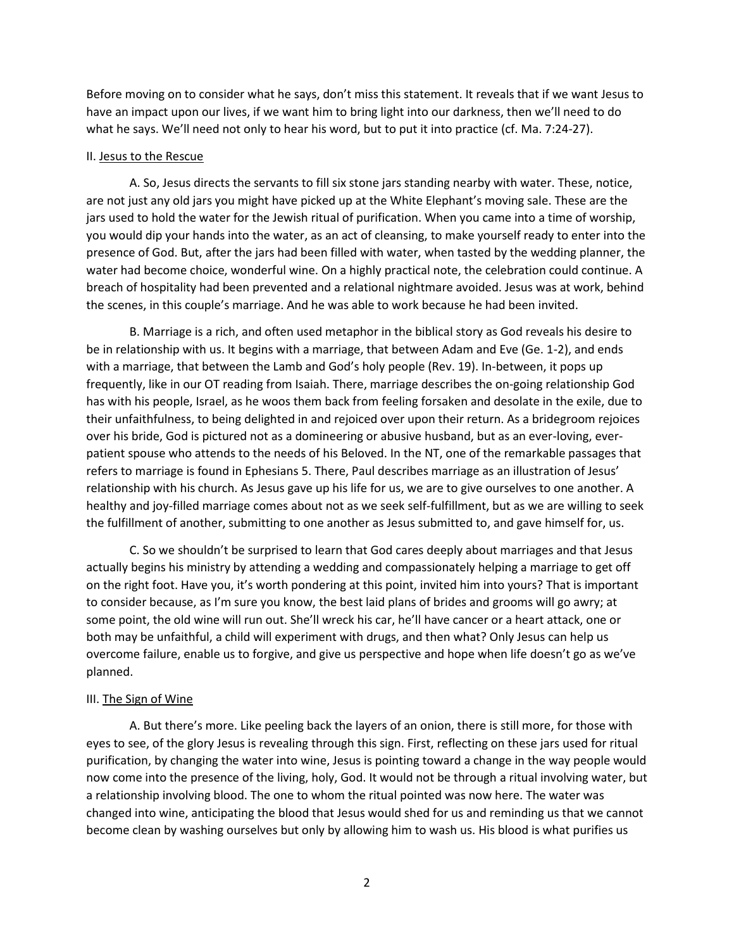Before moving on to consider what he says, don't miss this statement. It reveals that if we want Jesus to have an impact upon our lives, if we want him to bring light into our darkness, then we'll need to do what he says. We'll need not only to hear his word, but to put it into practice (cf. Ma. 7:24-27).

#### II. Jesus to the Rescue

A. So, Jesus directs the servants to fill six stone jars standing nearby with water. These, notice, are not just any old jars you might have picked up at the White Elephant's moving sale. These are the jars used to hold the water for the Jewish ritual of purification. When you came into a time of worship, you would dip your hands into the water, as an act of cleansing, to make yourself ready to enter into the presence of God. But, after the jars had been filled with water, when tasted by the wedding planner, the water had become choice, wonderful wine. On a highly practical note, the celebration could continue. A breach of hospitality had been prevented and a relational nightmare avoided. Jesus was at work, behind the scenes, in this couple's marriage. And he was able to work because he had been invited.

B. Marriage is a rich, and often used metaphor in the biblical story as God reveals his desire to be in relationship with us. It begins with a marriage, that between Adam and Eve (Ge. 1-2), and ends with a marriage, that between the Lamb and God's holy people (Rev. 19). In-between, it pops up frequently, like in our OT reading from Isaiah. There, marriage describes the on-going relationship God has with his people, Israel, as he woos them back from feeling forsaken and desolate in the exile, due to their unfaithfulness, to being delighted in and rejoiced over upon their return. As a bridegroom rejoices over his bride, God is pictured not as a domineering or abusive husband, but as an ever-loving, everpatient spouse who attends to the needs of his Beloved. In the NT, one of the remarkable passages that refers to marriage is found in Ephesians 5. There, Paul describes marriage as an illustration of Jesus' relationship with his church. As Jesus gave up his life for us, we are to give ourselves to one another. A healthy and joy-filled marriage comes about not as we seek self-fulfillment, but as we are willing to seek the fulfillment of another, submitting to one another as Jesus submitted to, and gave himself for, us.

C. So we shouldn't be surprised to learn that God cares deeply about marriages and that Jesus actually begins his ministry by attending a wedding and compassionately helping a marriage to get off on the right foot. Have you, it's worth pondering at this point, invited him into yours? That is important to consider because, as I'm sure you know, the best laid plans of brides and grooms will go awry; at some point, the old wine will run out. She'll wreck his car, he'll have cancer or a heart attack, one or both may be unfaithful, a child will experiment with drugs, and then what? Only Jesus can help us overcome failure, enable us to forgive, and give us perspective and hope when life doesn't go as we've planned.

### III. The Sign of Wine

A. But there's more. Like peeling back the layers of an onion, there is still more, for those with eyes to see, of the glory Jesus is revealing through this sign. First, reflecting on these jars used for ritual purification, by changing the water into wine, Jesus is pointing toward a change in the way people would now come into the presence of the living, holy, God. It would not be through a ritual involving water, but a relationship involving blood. The one to whom the ritual pointed was now here. The water was changed into wine, anticipating the blood that Jesus would shed for us and reminding us that we cannot become clean by washing ourselves but only by allowing him to wash us. His blood is what purifies us